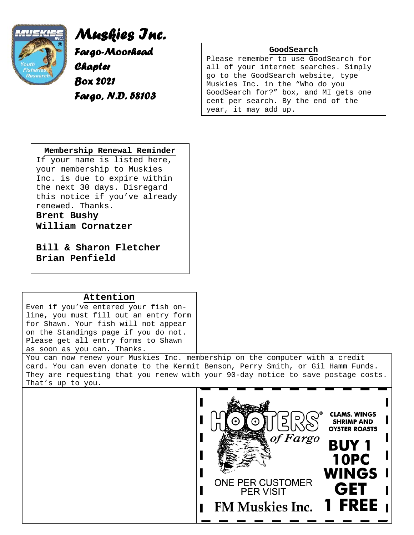

*Muskies Inc. Fargo-Moorhead Chapter Box 2021 Fargo, N.D. 58103*

### **GoodSearch**

Please remember to use GoodSearch for all of your internet searches. Simply go to the GoodSearch website, type Muskies Inc. in the "Who do you GoodSearch for?" box, and MI gets one cent per search. By the end of the year, it may add up.

## **Membership Renewal Reminder**

If your name is listed here, your membership to Muskies Inc. is due to expire within the next 30 days. Disregard this notice if you've already renewed. Thanks.

# **Brent Bushy William Cornatzer**

**Bill & Sharon Fletcher Brian Penfield** 

# **Attention**

Even if you've entered your fish online, you must fill out an entry form for Shawn. Your fish will not appear on the Standings page if you do not. Please get all entry forms to Shawn as soon as you can. Thanks.

You can now renew your Muskies Inc. membership on the computer with a credit card. You can even donate to the Kermit Benson, Perry Smith, or Gil Hamm Funds. They are requesting that you renew with your 90-day notice to save postage costs. That's up to you.

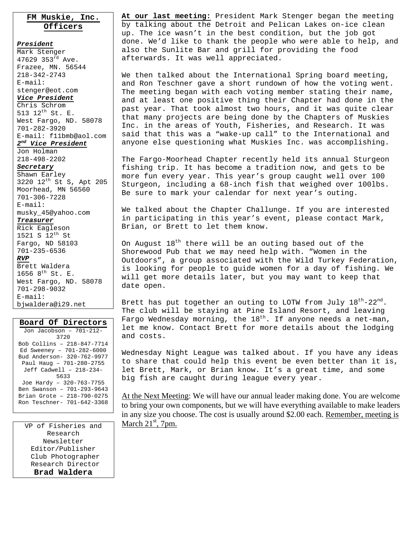## **FM Muskie, Inc. Officers**

#### *President*

Mark Stenger 47629 353rd Ave. Frazee, MN. 56544 218-342-2743 E-mail: stenger@eot.com

#### *Vice President*

Chris Schrom 513 12th St. E. West Fargo, ND. 58078 701-282-3920 E-mail: f11bmb@aol.com *2nd Vice President*

## Jon Holman

218-498-2202

#### *Secretary*

Shawn Earley 3220 12th St S, Apt 205 Moorhead, MN 56560 701-306-7228 E-mail: musky\_45@yahoo.com

#### *Treasurer*

Rick Eagleson 1521 S  $12^{th}$  St Fargo, ND 58103 701-235-6536

#### *RVP*

Brett Waldera 1656  $8^{th}$  St. E. West Fargo, ND. 58078 701-298-9032 E-mail: bjwaldera@i29.net

# **Board Of Directors**

Jon Jacobson – 701-212- 3720 Bob Collins – 218-847-7714 Ed Sweeney – 701-282-6000 Bud Anderson- 320-762-9977 Paul Haug – 701-280-2755 Jeff Cadwell – 218-234- 5633 Joe Hardy – 320-763-7755 Ben Swanson – 701-293-9643 Brian Grote – 218-790-0275 Ron Teschner- 701-642-3368

VP of Fisheries and Research Newsletter Editor/Publisher Club Photographer Research Director **Brad Waldera** 

**At our last meeting:** President Mark Stenger began the meeting by talking about the Detroit and Pelican Lakes on-ice clean up. The ice wasn't in the best condition, but the job got done. We'd like to thank the people who were able to help, and also the Sunlite Bar and grill for providing the food afterwards. It was well appreciated.

We then talked about the International Spring board meeting, and Ron Teschner gave a short rundown of how the voting went. The meeting began with each voting member stating their name, and at least one positive thing their Chapter had done in the past year. That took almost two hours, and it was quite clear that many projects are being done by the Chapters of Muskies Inc. in the areas of Youth, Fisheries, and Research. It was said that this was a "wake-up call" to the International and anyone else questioning what Muskies Inc. was accomplishing.

The Fargo-Moorhead Chapter recently held its annual Sturgeon fishing trip. It has become a tradition now, and gets to be more fun every year. This year's group caught well over 100 Sturgeon, including a 68-inch fish that weighed over 100lbs. Be sure to mark your calendar for next year's outing.

We talked about the Chapter Challunge. If you are interested in participating in this year's event, please contact Mark, Brian, or Brett to let them know.

On August  $18^{th}$  there will be an outing based out of the Shorewood Pub that we may need help with. "Women in the Outdoors", a group associated with the Wild Turkey Federation, is looking for people to guide women for a day of fishing. We will get more details later, but you may want to keep that date open.

Brett has put together an outing to LOTW from July  $18^{th} - 22^{nd}$ . The club will be staying at Pine Island Resort, and leaving Fargo Wednesday morning, the  $18<sup>th</sup>$ . If anyone needs a net-man, let me know. Contact Brett for more details about the lodging and costs.

Wednesday Night League was talked about. If you have any ideas to share that could help this event be even better than it is, let Brett, Mark, or Brian know. It's a great time, and some big fish are caught during league every year.

At the Next Meeting: We will have our annual leader making done. You are welcome to bring your own components, but we will have everything available to make leaders in any size you choose. The cost is usually around \$2.00 each. Remember, meeting is March  $21<sup>st</sup>$ , 7pm.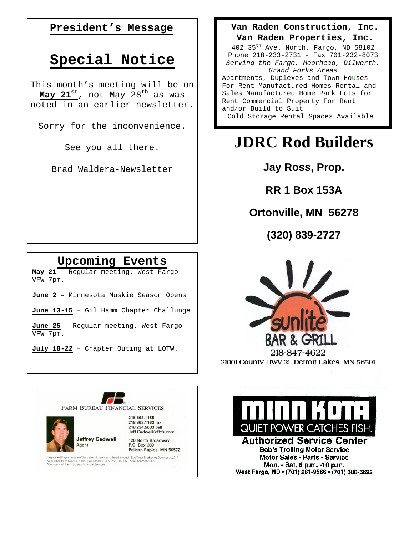# **President's Message**

# **Special Notice**

This month's meeting will be on **May 21st**, not May 28th as was noted in an earlier newsletter.

Sorry for the inconvenience.

See you all there.

Brad Waldera-Newsletter

# **Upcoming Events**

**May 21** – Regular meeting. West Fargo VFW 7pm.

**June 2** – Minnesota Muskie Season Opens

**June 13-15** – Gil Hamm Chapter Challunge

**June 25** – Regular meeting. West Fargo VFW 7pm.

**July 18-22** – Chapter Outing at LOTW.

### **Van Raden Construction, Inc.**

**Van Raden Properties, Inc.** 

402 35th Ave. North, Fargo, ND 58102 Phone 218-233-2731 - Fax 701-232-8073 *Serving the Fargo, Moorhead, Dilworth, Grand Forks Areas* Apartments, Duplexes and Town Houses For Rent Manufactured Homes Rental and Sales Manufactured Home Park Lots for Rent Commercial Property For Rent and/or Build to Suit Cold Storage Rental Spaces Available

# **JDRC Rod Builders**

**Jay Ross, Prop.** 

**RR 1 Box 153A** 

# **Ortonville, MN 56278**

**(320) 839-2727**





QUIET POWER CATCHES FISH **Authorized Service Center Bob's Trolling Motor Service** Motor Sales - Parts - Service Mon. - Sat. 6 p.m. -10 p.m. West Fargo, ND · (701) 281-9566 · (701) 306-5692